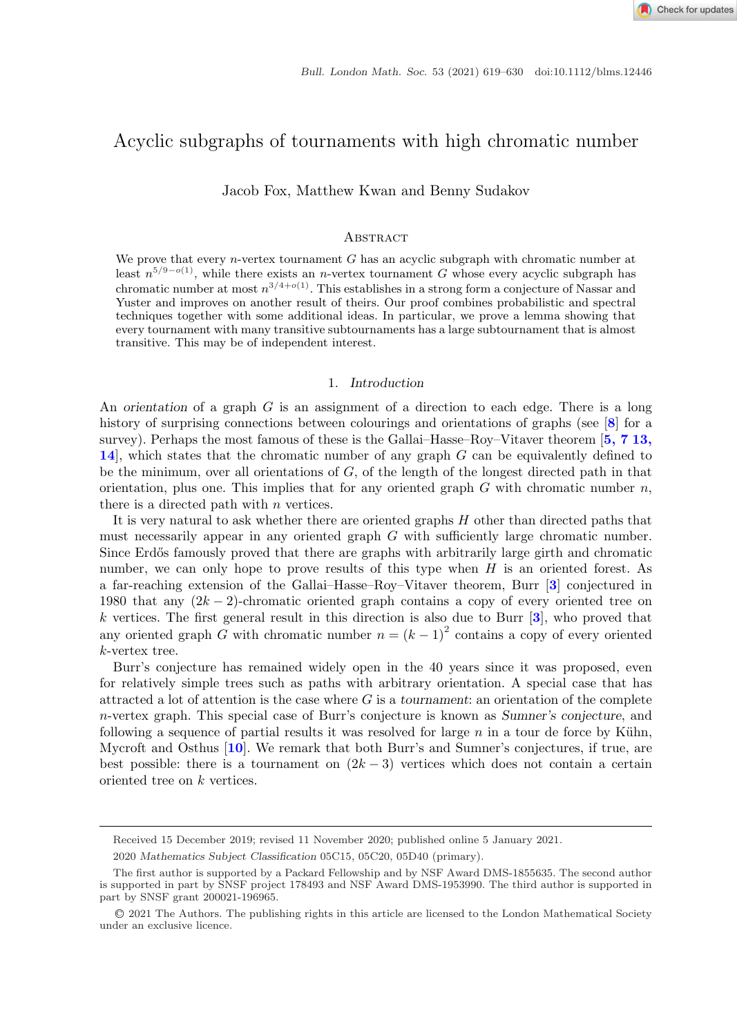# Acyclic subgraphs of tournaments with high chromatic number

Jacob Fox, Matthew Kwan and Benny Sudakov

### **ABSTRACT**

We prove that every *n*-vertex tournament  $G$  has an acyclic subgraph with chromatic number at least  $n^{5/9-o(1)}$ , while there exists an n-vertex tournament G whose every acyclic subgraph has chromatic number at most  $n^{3/4+o(1)}$ . This establishes in a strong form a conjecture of Nassar and Yuster and improves on another result of theirs. Our proof combines probabilistic and spectral techniques together with some additional ideas. In particular, we prove a lemma showing that every tournament with many transitive subtournaments has a large subtournament that is almost transitive. This may be of independent interest.

## 1*. Introduction*

An *orientation* of a graph G is an assignment of a direction to each edge. There is a long history of surprising connections between colourings and orientations of graphs (see [**[8](#page-10-0)**] for a survey). Perhaps the most famous of these is the Gallai–Hasse–Roy–Vitaver theorem [**[5, 7 13,](#page-10-0) [14](#page-10-0)**], which states that the chromatic number of any graph G can be equivalently defined to be the minimum, over all orientations of  $G$ , of the length of the longest directed path in that orientation, plus one. This implies that for any oriented graph  $G$  with chromatic number  $n$ , there is a directed path with *n* vertices.

It is very natural to ask whether there are oriented graphs H other than directed paths that must necessarily appear in any oriented graph  $G$  with sufficiently large chromatic number. Since Erdős famously proved that there are graphs with arbitrarily large girth and chromatic number, we can only hope to prove results of this type when  $H$  is an oriented forest. As a far-reaching extension of the Gallai–Hasse–Roy–Vitaver theorem, Burr [**[3](#page-10-0)**] conjectured in 1980 that any  $(2k-2)$ -chromatic oriented graph contains a copy of every oriented tree on k vertices. The first general result in this direction is also due to Burr [**[3](#page-10-0)**], who proved that any oriented graph G with chromatic number  $n = (k-1)^2$  contains a copy of every oriented k-vertex tree.

Burr's conjecture has remained widely open in the 40 years since it was proposed, even for relatively simple trees such as paths with arbitrary orientation. A special case that has attracted a lot of attention is the case where G is a *tournament*: an orientation of the complete n-vertex graph. This special case of Burr's conjecture is known as *Sumner's conjecture*, and following a sequence of partial results it was resolved for large  $n$  in a tour de force by Kühn, Mycroft and Osthus [**[10](#page-10-0)**]. We remark that both Burr's and Sumner's conjectures, if true, are best possible: there is a tournament on  $(2k-3)$  vertices which does not contain a certain oriented tree on k vertices.

Received 15 December 2019; revised 11 November 2020; published online 5 January 2021.

<sup>2020</sup> *Mathematics Subject Classification* 05C15, 05C20, 05D40 (primary).

The first author is supported by a Packard Fellowship and by NSF Award DMS-1855635. The second author is supported in part by SNSF project 178493 and NSF Award DMS-1953990. The third author is supported in part by SNSF grant 200021-196965.

<sup>C</sup>❡2021 The Authors. The publishing rights in this article are licensed to the London Mathematical Society under an exclusive licence.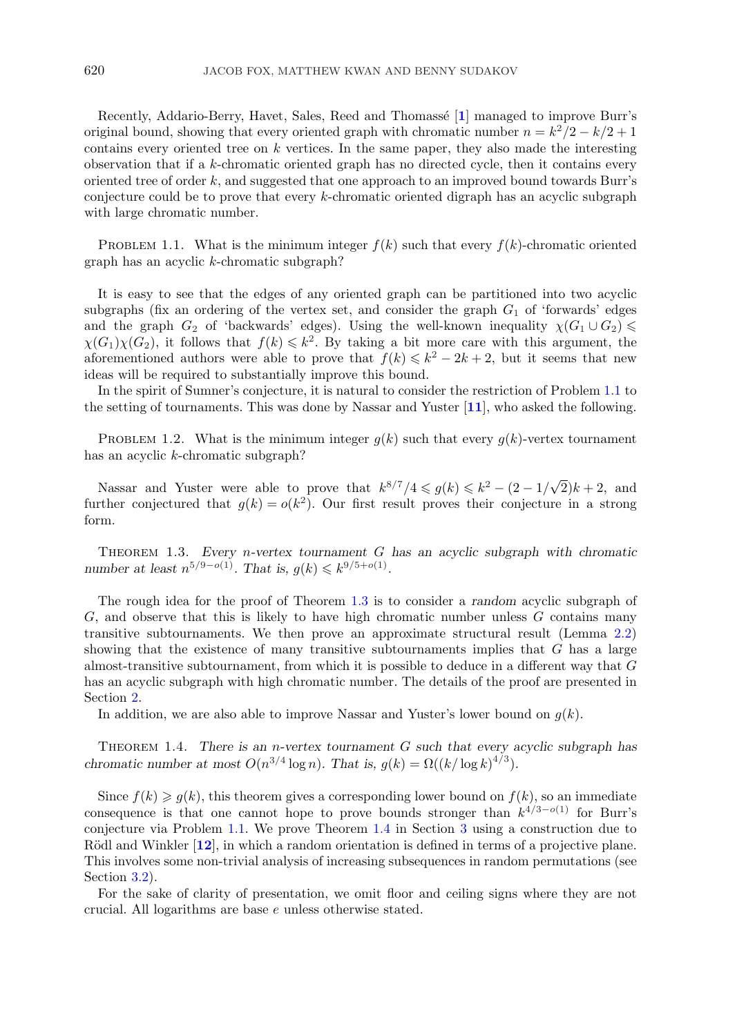<span id="page-1-0"></span>Recently, Addario-Berry, Havet, Sales, Reed and Thomass´e [**[1](#page-10-0)**] managed to improve Burr's original bound, showing that every oriented graph with chromatic number  $n = k^2/2 - k/2 + 1$ contains every oriented tree on  $k$  vertices. In the same paper, they also made the interesting observation that if a k-chromatic oriented graph has no directed cycle, then it contains every oriented tree of order  $k$ , and suggested that one approach to an improved bound towards Burr's conjecture could be to prove that every k-chromatic oriented digraph has an acyclic subgraph with large chromatic number.

PROBLEM 1.1. What is the minimum integer  $f(k)$  such that every  $f(k)$ -chromatic oriented graph has an acyclic k-chromatic subgraph?

It is easy to see that the edges of any oriented graph can be partitioned into two acyclic subgraphs (fix an ordering of the vertex set, and consider the graph  $G_1$  of 'forwards' edges and the graph  $G_2$  of 'backwards' edges). Using the well-known inequality  $\chi(G_1 \cup G_2) \le \chi(G_1) \chi(G_2)$  it follows that  $f(k) \le k^2$ . By taking a bit more care with this argument the  $\chi(G_1)\chi(G_2)$ , it follows that  $f(k) \leq k^2$ . By taking a bit more care with this argument, the aforementioned authors were able to prove that  $f(k) \leq k^2 - 2k + 2$  but it seems that new aforementioned authors were able to prove that  $f(k) \leq k^2 - 2k + 2$ , but it seems that new ideas will be required to substantially improve this bound.

In the spirit of Sumner's conjecture, it is natural to consider the restriction of Problem 1.1 to the setting of tournaments. This was done by Nassar and Yuster [**[11](#page-10-0)**], who asked the following.

PROBLEM 1.2. What is the minimum integer  $g(k)$  such that every  $g(k)$ -vertex tournament has an acyclic k-chromatic subgraph?

Nassar and Yuster were able to prove that  $k^{8/7}/4 \leq g(k) \leq k^2 - (2 - 1/\sqrt{2})k + 2$ , and ther conjectured that  $g(k) - g(k^2)$  Our first result proves their conjecture in a strong further conjectured that  $g(k) = o(k^2)$ . Our first result proves their conjecture in a strong form.

Theorem 1.3. *Every* n*-vertex tournament* G *has an acyclic subgraph with chromatic number at least*  $n^{5/9-o(1)}$ *. That is,*  $g(k) \leq k^{9/5+o(1)}$ *.* 

The rough idea for the proof of Theorem 1.3 is to consider a *random* acyclic subgraph of  $G$ , and observe that this is likely to have high chromatic number unless  $G$  contains many transitive subtournaments. We then prove an approximate structural result (Lemma [2.2\)](#page-2-0) showing that the existence of many transitive subtournaments implies that  $G$  has a large almost-transitive subtournament, from which it is possible to deduce in a different way that G has an acyclic subgraph with high chromatic number. The details of the proof are presented in Section [2.](#page-2-0)

In addition, we are also able to improve Nassar and Yuster's lower bound on  $g(k)$ .

Theorem 1.4. *There is an* n*-vertex tournament* G *such that every acyclic subgraph has chromatic number at most*  $O(n^{3/4} \log n)$ *. That is,*  $g(k) = \Omega((k/\log k)^{4/3})$ *.* 

Since  $f(k) \geq g(k)$ , this theorem gives a corresponding lower bound on  $f(k)$ , so an immediate consequence is that one cannot hope to prove bounds stronger than  $k^{4/3-o(1)}$  for Burr's conjecture via Problem 1.1. We prove Theorem 1.4 in Section [3](#page-6-0) using a construction due to Rödl and Winkler [[12](#page-10-0)], in which a random orientation is defined in terms of a projective plane. This involves some non-trivial analysis of increasing subsequences in random permutations (see Section [3.2\)](#page-8-0).

For the sake of clarity of presentation, we omit floor and ceiling signs where they are not crucial. All logarithms are base e unless otherwise stated.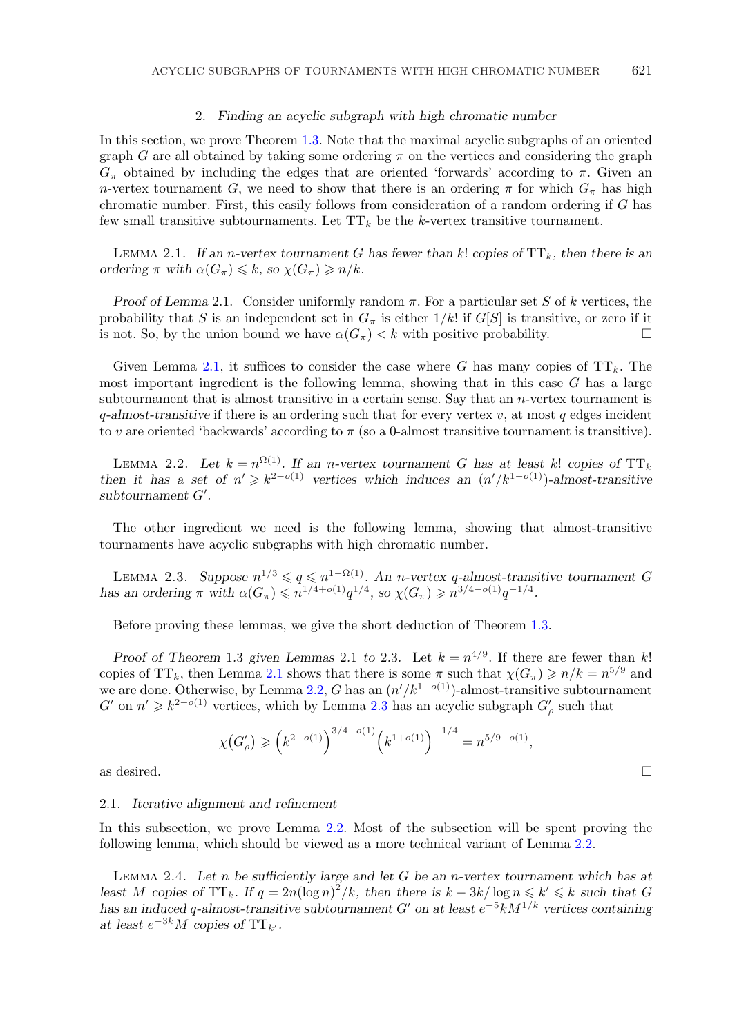## 2*. Finding an acyclic subgraph with high chromatic number*

<span id="page-2-0"></span>In this section, we prove Theorem [1.3.](#page-1-0) Note that the maximal acyclic subgraphs of an oriented graph G are all obtained by taking some ordering  $\pi$  on the vertices and considering the graph  $G_{\pi}$  obtained by including the edges that are oriented 'forwards' according to  $\pi$ . Given an n-vertex tournament G, we need to show that there is an ordering  $\pi$  for which  $G_{\pi}$  has high chromatic number. First, this easily follows from consideration of a random ordering if G has few small transitive subtournaments. Let  $TT_k$  be the k-vertex transitive tournament.

LEMMA 2.1. If an *n*-vertex tournament G has fewer than k! copies of  $TT_k$ , then there is an *ordering*  $\pi$  *with*  $\alpha(G_{\pi}) \leq k$ *, so*  $\chi(G_{\pi}) \geq n/k$ *.* 

*Proof of Lemma* 2.1. Consider uniformly random  $\pi$ . For a particular set S of k vertices, the probability that S is an independent set in  $G_{\pi}$  is either  $1/k!$  if  $G[S]$  is transitive, or zero if it is not. So, by the union bound we have  $\alpha(G_{\tau}) < k$  with positive probability. is not. So, by the union bound we have  $\alpha(G_\pi) < k$  with positive probability.

Given Lemma 2.1, it suffices to consider the case where G has many copies of  $TT_k$ . The most important ingredient is the following lemma, showing that in this case  $G$  has a large subtournament that is almost transitive in a certain sense. Say that an  $n$ -vertex tournament is q*-almost-transitive* if there is an ordering such that for every vertex v, at most q edges incident to v are oriented 'backwards' according to  $\pi$  (so a 0-almost transitive tournament is transitive).

LEMMA 2.2. Let  $k = n^{\Omega(1)}$ . If an *n*-vertex tournament G has at least k! copies of TT<sub>k</sub> *then it has a set of*  $n' \geq k^{2-o(1)}$  *vertices which induces an*  $(n'/k^{1-o(1)})$ *-almost-transitive* subtournament  $G'$  $subtournament G'.$ 

The other ingredient we need is the following lemma, showing that almost-transitive tournaments have acyclic subgraphs with high chromatic number.

LEMMA 2.3. Suppose  $n^{1/3} \leq q \leq n^{1-\Omega(1)}$ . An *n*-vertex q-almost-transitive tournament G<br>is an ordering  $\pi$  with  $\alpha(G) \leq n^{1/4+o(1)} \alpha^{1/4}$  so  $\gamma(G) > n^{3/4-o(1)} \alpha^{-1/4}$ *has an ordering*  $\pi$  *with*  $\alpha(G_{\pi}) \leq n^{1/4+o(1)}q^{1/4}$ *, so*  $\chi(G_{\pi}) \geq n^{3/4-o(1)}q^{-1/4}$ *.* 

Before proving these lemmas, we give the short deduction of Theorem [1.3.](#page-1-0)

*Proof of Theorem* 1.3 *given Lemmas* 2.1 *to* 2.3*.* Let  $k = n^{4/9}$ . If there are fewer than k! copies of TT<sub>k</sub>, then Lemma 2.1 shows that there is some  $\pi$  such that  $\chi(G_{\pi}) \geq n/k = n^{5/9}$  and we are done. Otherwise, by Lemma 2.2, G has an  $(n')$ <br>  $G'$  on  $n' > k^{2-o(1)}$  vertices, which by Lemma 2.3 h  $\frac{1}{k^{1-o(1)}}$ -almost-transitive subtournament  $G'$  on  $n' \geq k^{2-o(1)}$  vertices, which by Lemma 2.3 has an acyclic subgraph  $G'_{\rho}$  such that

$$
\chi(G'_{\rho}) \ge (k^{2-o(1)})^{3/4-o(1)} (k^{1+o(1)})^{-1/4} = n^{5/9-o(1)},
$$
 as desired.

# 2*.*1*. Iterative alignment and refinement*

In this subsection, we prove Lemma 2.2. Most of the subsection will be spent proving the following lemma, which should be viewed as a more technical variant of Lemma 2.2.

Lemma 2.4. *Let* n *be sufficiently large and let* G *be an* n*-vertex tournament which has at least* M copies of  $TT_k$ . If  $q = 2n(\log n)^2/k$ , then there is  $k - 3k/\log n \leq k' \leq k$  such that G has an induced a-almost-transitive subtournament  $G'$  on at least  $e^{-5}kM^{1/k}$  vertices containing *has an induced* q-almost-transitive subtournament G' on at least  $e^{-5}kM^{1/k}$  vertices containing<br>at least  $e^{-3k}M$  copies of TT<sub>L</sub>. *at least*  $e^{-3k}M$  *copies of*  $TT_{k'}$ *.*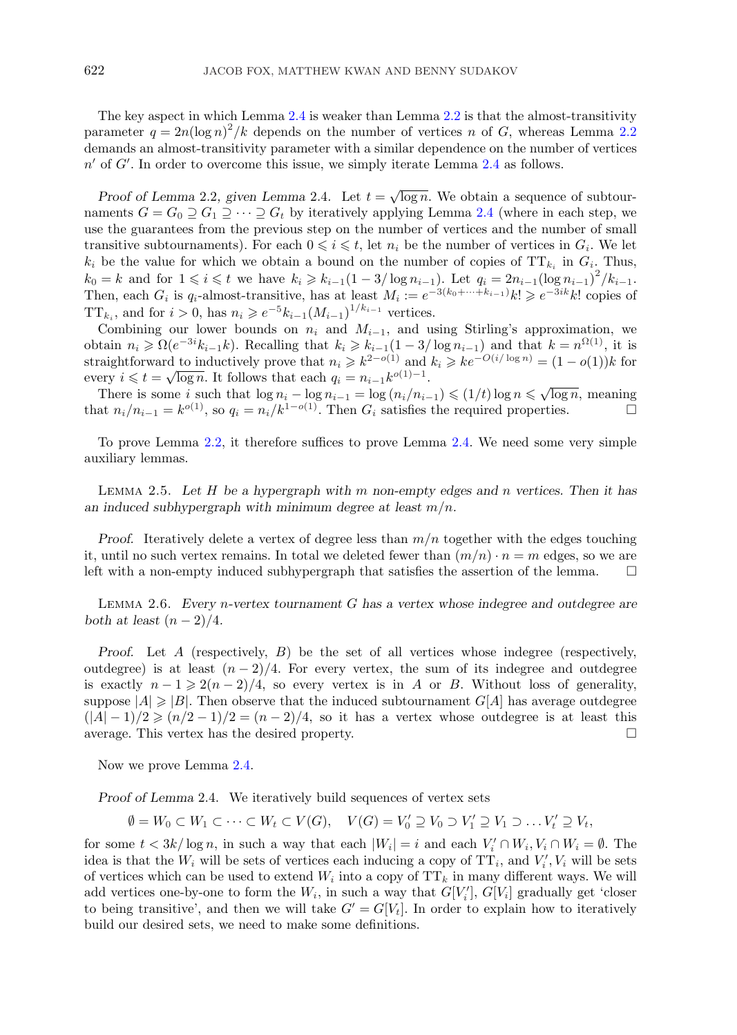<span id="page-3-0"></span>The key aspect in which Lemma [2.4](#page-2-0) is weaker than Lemma [2.2](#page-2-0) is that the almost-transitivity parameter  $q = 2n(\log n)^2/k$  depends on the number of vertices n of G, whereas Lemma [2.2](#page-2-0)<br>demands an almost-transitivity parameter with a similar dependence on the number of vertices demands an almost-transitivity parameter with a similar dependence on the number of vertices  $n'$  of  $G'$ . In order to overcome this issue, we simply iterate Lemma [2.4](#page-2-0) as follows.

*Proof of Lemma* 2.2*, given Lemma* 2.4*.* Let  $t = \sqrt{\log n}$ . We obtain a sequence of subtournaments  $G = G_0 \supseteq G_1 \supseteq \cdots \supseteq G_t$  by iteratively applying Lemma [2.4](#page-2-0) (where in each step, we use the guarantees from the previous step on the number of vertices and the number of small transitive subtournaments). For each  $0 \leq i \leq t$ , let  $n_i$  be the number of vertices in  $G_i$ . We let  $k_i$  be the value for which we obtain a bound on the number of copies of TT, in  $G_i$ . Thus  $k_i$  be the value for which we obtain a bound on the number of copies of  $TT_{k_i}$  in  $G_i$ . Thus,  $k_0 = k$  and for  $1 \leq i \leq t$  we have  $k_i \geq k_{i-1}(1-3/\log n_{i-1})$ . Let  $q_i = 2n_{i-1}(\log n_{i-1})^2/k_{i-1}$ .<br>Then each *G* is *g*-almost-transitive has at least  $M_i \leftarrow e^{-3(k_0 + \cdots + k_{i-1})} k! \geq e^{-3ik} k!$  copies of Then, each  $G_i$  is  $q_i$ -almost-transitive, has at least  $M_i := e^{-3(k_0 + \dots + k_{i-1})} k! \geq e^{-3ik} k!$  copies of  $TT_{k_i}$ , and for  $i > 0$ , has  $n_i \geqslant e^{-5} k_{i-1} (M_{i-1})^{1/k_{i-1}}$  vertices.<br>Combining our lower bounds on  $n_i$  and  $M_{i-1}$  and u

Combining our lower bounds on  $n_i$  and  $M_{i-1}$ , and using Stirling's approximation, we obtain  $n_i \geq \Omega(e^{-3i}k_{i-1}k)$ . Recalling that  $k_i \geq k_{i-1}(1-3/\log n_{i-1})$  and that  $k = n^{\Omega(1)}$ , it is straightforward to inductively prove that  $n_i \geq k^{2-o(1)}$  and  $k_i \geq k e^{-O(i/\log n)} - (1 - o(1))k$  for straightforward to inductively prove that  $n_i \geq k^{2-o(1)}$  and  $k_i \geq k e^{-O(i/\log n)} = (1 - o(1))k$  for every  $i \le t = \sqrt{\log n}$ . It follows that each  $q_i = n_{i-1}k^{o(1)-1}$ .<br>There is some *i* such that  $\log n_i - \log n_{i-1} - \log (n_i/n_i)$ .

 $T$ here is some *i* such that  $\log n_i - \log n_{i-1} = \log (n_i/n_{i-1}) \leq (1/t) \log n \leq \sqrt{\log n}$ , meaning<br>
at  $n_i/n_{i-1} = k^{o(1)}$  so  $a_i - n_i/k^{1-o(1)}$ . Then *G*, satisfies the required properties ∴ that  $n_i/n_{i-1} = k^{o(1)}$ , so  $q_i = n_i/k^{1-o(1)}$ . Then  $G_i$  satisfies the required properties. □

To prove Lemma [2.2,](#page-2-0) it therefore suffices to prove Lemma [2.4.](#page-2-0) We need some very simple auxiliary lemmas.

Lemma 2.5. *Let* H *be a hypergraph with* m *non-empty edges and* n *vertices. Then it has an induced subhypergraph with minimum degree at least* m/n*.*

*Proof.* Iteratively delete a vertex of degree less than  $m/n$  together with the edges touching it, until no such vertex remains. In total we deleted fewer than  $(m/n) \cdot n = m$  edges, so we are<br>left with a non-empty induced subhypergraph that satisfies the assertion of the lemma left with a non-empty induced subhypergraph that satisfies the assertion of the lemma.

Lemma 2.6. *Every* n*-vertex tournament* G *has a vertex whose indegree and outdegree are both at least*  $(n-2)/4$ *.* 

*Proof.* Let A (respectively, B) be the set of all vertices whose indegree (respectively, outdegree) is at least  $(n-2)/4$ . For every vertex, the sum of its indegree and outdegree is exactly  $n-1 \geqslant 2(n-2)/4$ , so every vertex is in A or B. Without loss of generality, suppose  $|A| \geq |B|$ . Then observe that the induced subtournament  $G[A]$  has average outdegree  $(|A| - 1)/2 \ge (n/2 - 1)/2 = (n - 2)/4$ , so it has a vertex whose outdegree is at least this average. This vertex has the desired property. average. This vertex has the desired property.

Now we prove Lemma [2.4.](#page-2-0)

*Proof of Lemma* 2.4. We iteratively build sequences of vertex sets

 $\emptyset = W_0 \subset W_1 \subset \cdots \subset W_t \subset V(G), \quad V(G) = V'_0 \supseteq V_0 \supset V'_1 \supseteq V_1 \supset \ldots V'_t \supseteq V_t,$ 

for some  $t < 3k/\log n$ , in such a way that each  $|W_i| = i$  and each  $V_i' \cap W_i$ ,  $V_i \cap W_i = \emptyset$ . The set idea is that the  $W_i$  will be sets of vertices each inducing a copy of  $TT_i$ , and  $V'_i$ ,  $V_i$  will be sets of vertices which can be used to extend  $W_i$  into a copy of  $TT_i$ , in many different ways. We will of vertices which can be used to extend  $W_i$  into a copy of  $TT_k$  in many different ways. We will add vertices one-by-one to form the  $W_i$ , in such a way that  $G[V'_i], G[V_i]$  gradually get 'closer<br>to being transitive', and then we will take  $G' = G[V_i]$ . In order to explain how to iteratively to being transitive', and then we will take  $G' = G[V_t]$ . In order to explain how to iteratively<br>build our desired sets, we need to make some definitions. build our desired sets, we need to make some definitions.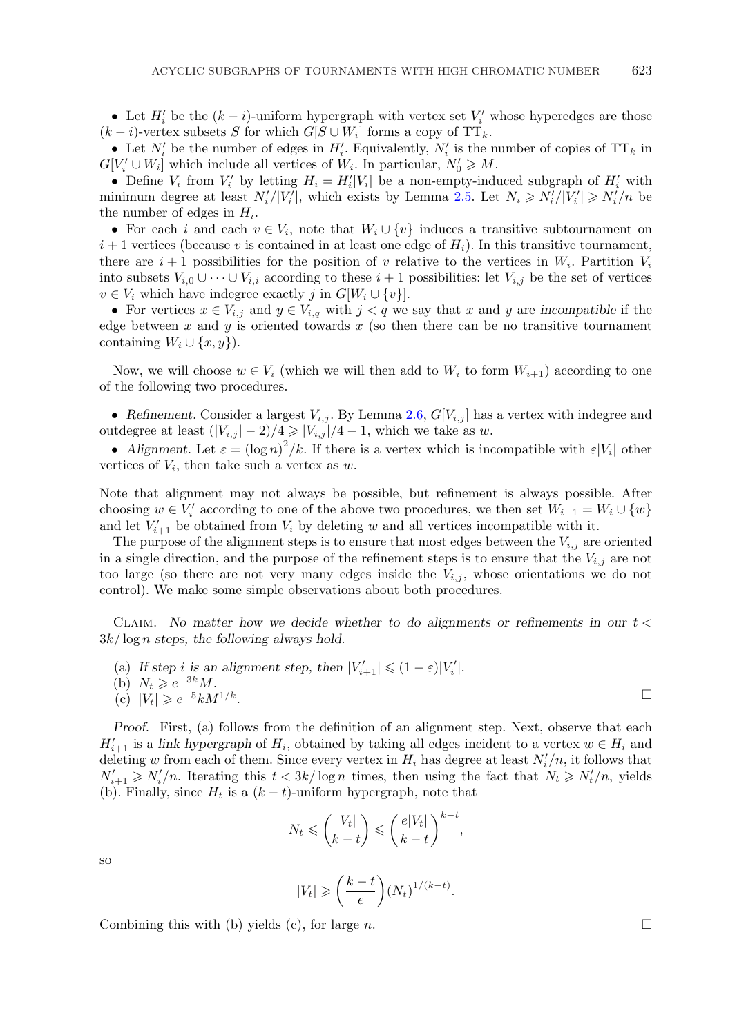• Let  $H'_i$  be the  $(k - i)$ -uniform hypergraph with vertex set  $V'_i$  whose hyperedges are those  $i - i$ )-vertex subsets S for which  $G[S \cup W]$  forms a copy of  $TT$ .  $(k - i)$ -vertex subsets S for which  $G[S \cup W_i]$  forms a copy of TT<sub>k</sub>.

• Let  $N'_i$  be the number of edges in  $H'_i$ . Equivalently,  $N'_i$  is the number of copies of  $TT_k$  in  $[V'_i] \cup W_i]$  which include all vertices of W. In particular  $N'_i \geq M$  $G[V_i' \cup W_i]$  which include all vertices of  $W_i$ . In particular,  $N'_0 \ge M$ .<br>
• Define V, from V' by letting  $H_i = H'[V_i]$  be a non-empty-indi-

• Define  $V_i$  from  $V'_i$  by letting  $H_i = H'_i[V_i]$  be a non-empty-induced subgraph of  $H'_i$  with<br>inimum degree at least  $N'/|V'|$  which exists by Lemma 2.5. Let  $N' > N'/|V'| > N'/n$  be minimum degree at least  $N_i'/|V_i'|$ , which exists by Lemma [2.5.](#page-3-0) Let  $N_i \ge N_i'/|V_i'| \ge N_i'/n$  be<br>the number of edges in H. the number of edges in  $H_i$ .

• For each i and each  $v \in V_i$ , note that  $W_i \cup \{v\}$  induces a transitive subtournament on  $i+1$  vertices (because v is contained in at least one edge of  $H_i$ ). In this transitive tournament, there are  $i+1$  possibilities for the position of v relative to the vertices in  $W_i$ . Partition  $V_i$ into subsets  $V_{i,0} \cup \cdots \cup V_{i,i}$  according to these  $i+1$  possibilities: let  $V_{i,j}$  be the set of vertices  $v \in V_i$  which have indegree exactly j in  $G[W_i \cup \{v\}]$ .

• For vertices  $x \in V_{i,j}$  and  $y \in V_{i,q}$  with  $j < q$  we say that x and y are *incompatible* if the edge between x and y is oriented towards x (so then there can be no transitive tournament containing  $W_i \cup \{x, y\}$ .

Now, we will choose  $w \in V_i$  (which we will then add to  $W_i$  to form  $W_{i+1}$ ) according to one of the following two procedures.

• Refinement. Consider a largest  $V_{i,j}$ . By Lemma [2.6,](#page-3-0)  $G[V_{i,j}]$  has a vertex with indegree and outdegree at least  $(|V_{i,j}|-2)/4 \geq |V_{i,j}|/4 - 1$ , which we take as w.

• *Alignment.* Let  $\varepsilon = (\log n)^2/k$ . If there is a vertex which is incompatible with  $\varepsilon|V_i|$  other trices of V<sub>i</sub> then take such a vertex as *w* vertices of  $V_i$ , then take such a vertex as  $w$ .

Note that alignment may not always be possible, but refinement is always possible. After choosing  $w \in V'_i$  according to one of the above two procedures, we then set  $W_{i+1} = W_i \cup \{w\}$ <br>and let  $V'$ , be obtained from  $V$  by deleting w and all vertices incompatible with it and let  $V'_{i+1}$  be obtained from  $V_i$  by deleting w and all vertices incompatible with it.<br>The purpose of the alignment steps is to ensure that most edges between the V

The purpose of the alignment steps is to ensure that most edges between the  $V_{i,j}$  are oriented in a single direction, and the purpose of the refinement steps is to ensure that the  $V_{i,j}$  are not too large (so there are not very many edges inside the  $V_{i,j}$ , whose orientations we do not control). We make some simple observations about both procedures.

Claim. *No matter how we decide whether to do alignments or refinements in our* t < <sup>3</sup>k/ log n *steps, the following always hold.*

(a) If step *i* is an alignment step, then  $|V'_{i+1}| \leq (1 - \varepsilon)|V'_{i}|$ .<br>
(b)  $N_{i} > e^{-3k}M$ 

(b) 
$$
N_t \geqslant e^{-3k}M
$$
.

$$
(c) |V_t| \geqslant e^{-5}kM^{1/k}.
$$

*Proof.* First, (a) follows from the definition of an alignment step. Next, observe that each  $H'_{i+1}$  is a *link hypergraph* of  $H_i$ , obtained by taking all edges incident to a vertex  $w \in H_i$  and deleting w from each of them. Since every vertex in H, has degree at least  $N'/n$  it follows that deleting w from each of them. Since every vertex in  $H_i$  has degree at least  $N'_i/n$ , it follows that  $N' > N'/n$ , Hersting this  $t < 3k/\log n$  times, then using the fact that  $N \ge N'/n$ , vields  $N'_{t+1} \geq N'_{t}/n$ . Iterating this  $t < 3k/\log n$  times, then using the fact that  $N_t \geq N'_{t}/n$ , yields <br>(b) Finally since H, is a  $(k-t)$ -uniform hypergraph note that (b). Finally, since  $H_t$  is a  $(k - t)$ -uniform hypergraph, note that

$$
N_t \leqslant \binom{|V_t|}{k-t} \leqslant \left(\frac{e|V_t|}{k-t}\right)^{k-t},
$$

so

$$
|V_t| \geqslant \left(\frac{k-t}{e}\right) (N_t)^{1/(k-t)}.
$$

Combining this with (b) yields (c), for large n.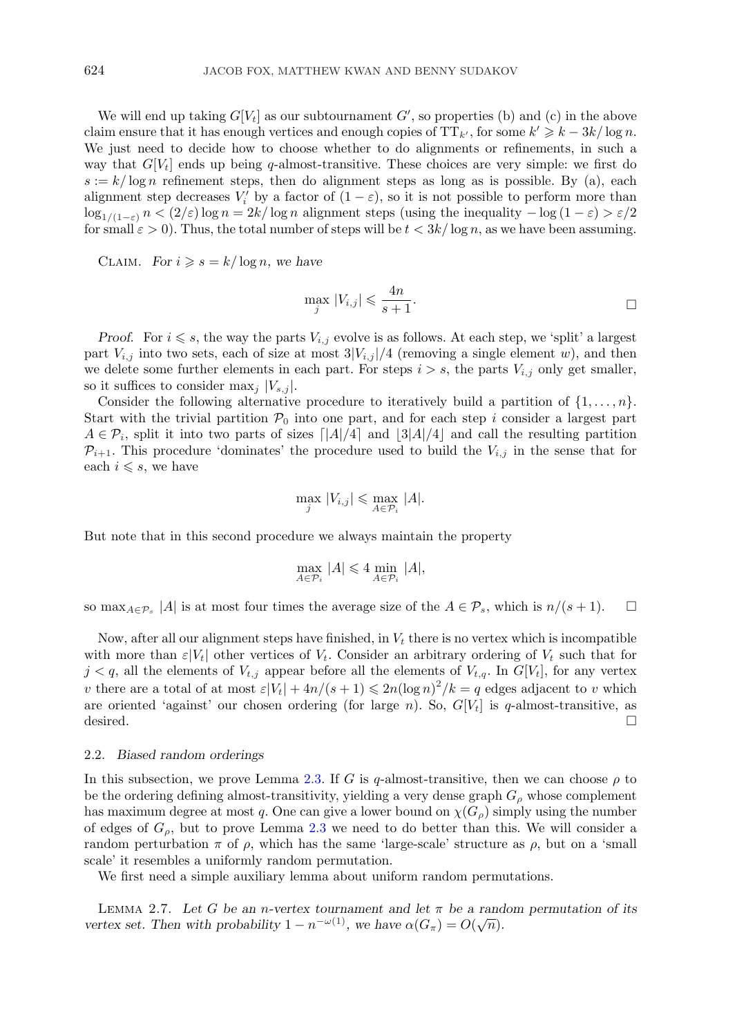<span id="page-5-0"></span>We will end up taking  $G[V_t]$  as our subtournament  $G'$ , so properties (b) and (c) in the above<br>im ensure that it has enough vertices and enough copies of  $TT_{U}$  for some  $k' \ge k - 3k/\log n$ claim ensure that it has enough vertices and enough copies of  $TT_{k'}$ , for some  $k' \geq k - 3k/\log n$ .<br>We just need to decide how to choose whether to do alignments or refinements in such a We just need to decide how to choose whether to do alignments or refinements, in such a way that  $G[V_t]$  ends up being q-almost-transitive. These choices are very simple: we first do  $s := k/\log n$  refinement steps, then do alignment steps as long as is possible. By (a), each alignment step decreases  $V_i'$  by a factor of  $(1 - \varepsilon)$ , so it is not possible to perform more than<br>log,  $w_i \geq n \leq (2/\varepsilon) \log n - 2k/\log n$  alignment steps (using the inequality  $-\log(1-\varepsilon) \geq \varepsilon/2$  $\log_{1/(1-\varepsilon)} n < (2/\varepsilon) \log n = 2k/\log n$  alignment steps (using the inequality  $-\log(1-\varepsilon) > \varepsilon/2$ for small  $\varepsilon > 0$ . Thus, the total number of steps will be  $t < 3k/\log n$ , as we have been assuming.

CLAIM. *For*  $i \geq s = k/\log n$ , we have

$$
\max_{j} |V_{i,j}| \leqslant \frac{4n}{s+1}.
$$

*Proof.* For  $i \leq s$ , the way the parts  $V_{i,j}$  evolve is as follows. At each step, we 'split' a largest  $V_i$  is into two sets, each of size at most  $3|V_i|/4$  (removing a single element  $w_i$ ) and then part  $V_{i,j}$  into two sets, each of size at most  $3|V_{i,j}|/4$  (removing a single element w), and then we delete some further elements in each part. For steps  $i>s$ , the parts  $V_{i,j}$  only get smaller, so it suffices to consider  $\max_i |V_{s,i}|$ .

Consider the following alternative procedure to iteratively build a partition of  $\{1,\ldots,n\}$ . Start with the trivial partition  $P_0$  into one part, and for each step i consider a largest part  $A \in \mathcal{P}_i$ , split it into two parts of sizes  $\lceil |A|/4 \rceil$  and  $\lceil 3|A|/4 \rceil$  and call the resulting partition  $\mathcal{P}_{i+1}$ . This procedure 'dominates' the procedure used to build the  $V_{i+1}$  in the sense that for  $\mathcal{P}_{i+1}$ . This procedure 'dominates' the procedure used to build the  $V_{i,j}$  in the sense that for each  $i \leq s$ , we have

$$
\max_{j} |V_{i,j}| \leq \max_{A \in \mathcal{P}_i} |A|.
$$

But note that in this second procedure we always maintain the property

$$
\max_{A\in\mathcal{P}_i}\, |A| \leqslant 4 \min_{A\in\mathcal{P}_i}\, |A|,
$$

so max<sub> $A\in\mathcal{P}_s$ </sub> |A| is at most four times the average size of the  $A\in\mathcal{P}_s$ , which is  $n/(s+1)$ .  $\Box$ 

Now, after all our alignment steps have finished, in  $V_t$  there is no vertex which is incompatible with more than  $\varepsilon|V_t|$  other vertices of  $V_t$ . Consider an arbitrary ordering of  $V_t$  such that for  $j < q$ , all the elements of  $V_{t,j}$  appear before all the elements of  $V_{t,q}$ . In  $G[V_t]$ , for any vertex v there are a total of at most  $\varepsilon|V_t| + 4n/(s+1) \leq 2n(\log n)^2/k = q$  edges adjacent to v which<br>are oriented 'against' our chosen ordering (for large n). So,  $G[V_t]$  is  $q$ -almost-transitive as are oriented 'against' our chosen ordering (for large *n*). So,  $G[V_t]$  is *q*-almost-transitive, as desired. desired.  $\Box$ 

#### 2*.*2*. Biased random orderings*

In this subsection, we prove Lemma [2.3.](#page-2-0) If G is q-almost-transitive, then we can choose  $\rho$  to be the ordering defining almost-transitivity, yielding a very dense graph  $G_{\rho}$  whose complement has maximum degree at most q. One can give a lower bound on  $\chi(G_{\rho})$  simply using the number of edges of  $G_{\rho}$ , but to prove Lemma [2.3](#page-2-0) we need to do better than this. We will consider a random perturbation  $\pi$  of  $\rho$ , which has the same 'large-scale' structure as  $\rho$ , but on a 'small scale' it resembles a uniformly random permutation.

We first need a simple auxiliary lemma about uniform random permutations.

LEMMA 2.7. Let *G* be an *n*-vertex tournament and let  $\pi$  be a random permutation of its<br>
rtex set. Then with probability  $1 - n^{-\omega(1)}$  we have  $\alpha(G) - O(\sqrt{n})$ *vertex set. Then with probability*  $1 - n^{-\omega(1)}$ *, we have*  $\alpha(G_{\pi}) = O(\sqrt{n})$ *.*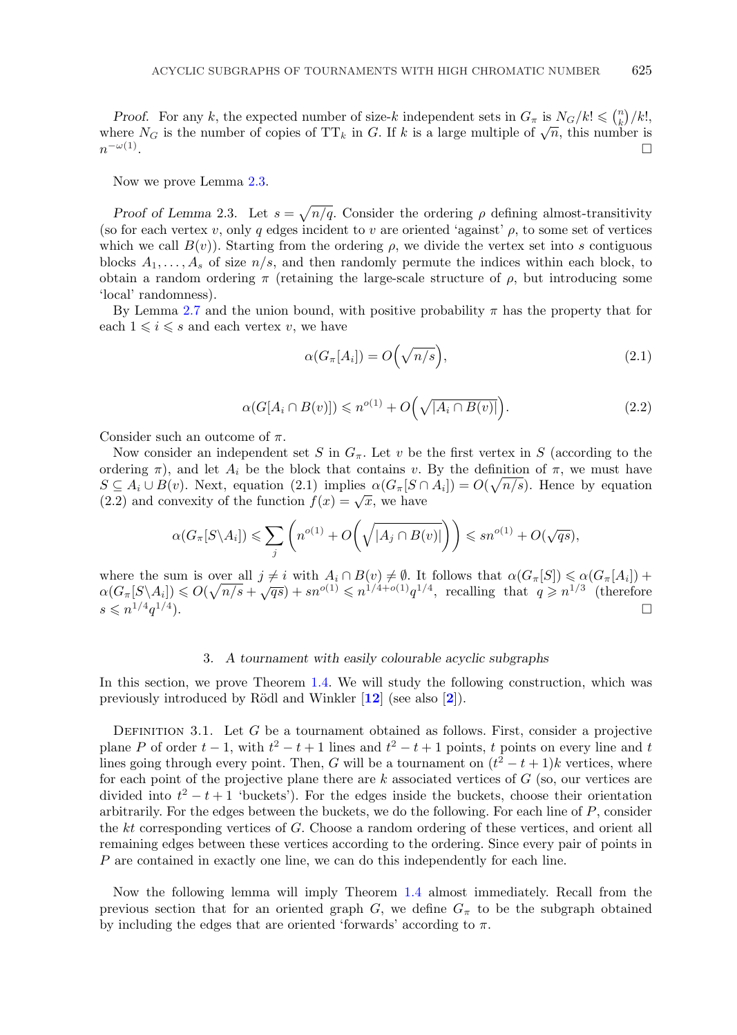<span id="page-6-0"></span>*Proof.* For any k, the expected number of size-k independent sets in  $G_{\pi}$  is  $N_G/k! \leq \binom{n}{k}/k!$ , here  $N_G$  is the number of copies of TT, in G. If k is a large multiple of  $\sqrt{n}$ , this number is where  $N_G$  is the number of copies of TT<sub>k</sub> in G. If k is a large multiple of  $\sqrt{n}$ , this number is  $n^{-\omega(1)}$ .  $n^{-\omega(1)}$ .

Now we prove Lemma [2.3.](#page-2-0)

*Proof of Lemma* 2.3. Let  $s = \sqrt{n/q}$ . Consider the ordering  $\rho$  defining almost-transitivity (so for each vertex v, only q edges incident to v are oriented 'against'  $\rho$ , to some set of vertices which we call  $B(v)$ ). Starting from the ordering  $\rho$ , we divide the vertex set into s contiguous blocks  $A_1, \ldots, A_s$  of size  $n/s$ , and then randomly permute the indices within each block, to obtain a random ordering  $\pi$  (retaining the large-scale structure of  $\rho$ , but introducing some 'local' randomness).

By Lemma [2.7](#page-5-0) and the union bound, with positive probability  $\pi$  has the property that for each  $1 \leq i \leq s$  and each vertex v, we have

$$
\alpha(G_{\pi}[A_i]) = O\left(\sqrt{n/s}\right),\tag{2.1}
$$

$$
\alpha(G[A_i \cap B(v)]) \leqslant n^{o(1)} + O\left(\sqrt{|A_i \cap B(v)|}\right).
$$
\n(2.2)

Consider such an outcome of  $\pi$ .

Now consider an independent set S in  $G_{\pi}$ . Let v be the first vertex in S (according to the ordering  $\pi$ ), and let  $A_i$  be the block that contains v. By the definition of  $\pi$ , we must have  $S \subseteq A_i \cup B(v)$ . Next, equation (2.1) implies  $\alpha(G_{\pi}[S \cap A_i]) = O(\sqrt{n/s})$ . Hence by equation (2.2) and convexity of the function  $f(x) = \sqrt{x}$  we have (2.2) and convexity of the function  $f(x) = \sqrt{x}$ , we have

$$
\alpha(G_{\pi}[S\setminus A_i]) \leqslant \sum_j \left( n^{o(1)} + O\left(\sqrt{|A_j \cap B(v)|}\right) \right) \leqslant sn^{o(1)} + O(\sqrt{qs}),
$$

where the sum is over all  $j \neq i$  with  $A_i \cap B(v) \neq \emptyset$ . It follows that  $\alpha(G_{\pi}[S]) \leq \alpha(G_{\pi}[A_i]) +$ <br>  $\alpha(G,[S \setminus A_i]) \leq O(\sqrt{n/s} + \sqrt{qs}) + sp^{o(1)} \leq n^{1/4+o(1)}q^{1/4}$  recalling that  $q > n^{1/3}$  (therefore where the sum is over an  $j \neq i$  with  $\Pi_i + D(i) \neq j$ . It follows that  $\alpha(\sigma_{\pi}[S]) \leq \alpha(\sigma_{\pi}[A_i])$ <br>  $\alpha(G_{\pi}[S \setminus A_i]) \leq O(\sqrt{n/s} + \sqrt{qs}) + sn^{o(1)} \leq n^{1/4+o(1)}q^{1/4}$ , recalling that  $q \geq n^{1/3}$  (therefore  $s \leqslant n^{1/4} q^{1/4}$ .  $\leqslant n^{1/4}q^{1/4}$ ).

# 3*. A tournament with easily colourable acyclic subgraphs*

In this section, we prove Theorem [1.4.](#page-1-0) We will study the following construction, which was previously introduced by R¨odl and Winkler [**[12](#page-10-0)**] (see also [**[2](#page-10-0)**]).

DEFINITION 3.1. Let G be a tournament obtained as follows. First, consider a projective plane P of order  $t-1$ , with  $t^2 - t + 1$  lines and  $t^2 - t + 1$  points, t points on every line and t<br>lines going through every point. Then G will be a tournament on  $(t^2 - t + 1)$ k vertices, where lines going through every point. Then, G will be a tournament on  $(t^2 - t + 1)k$  vertices, where<br>for each point of the projective plane there are k associated vertices of G (so, our vertices are for each point of the projective plane there are  $k$  associated vertices of  $G$  (so, our vertices are divided into  $t^2 - t + 1$  'buckets'). For the edges inside the buckets, choose their orientation<br>arbitrarily For the edges between the buckets, we do the following. For each line of P, consider arbitrarily. For the edges between the buckets, we do the following. For each line of  $P$ , consider the kt corresponding vertices of G. Choose a random ordering of these vertices, and orient all remaining edges between these vertices according to the ordering. Since every pair of points in P are contained in exactly one line, we can do this independently for each line.

Now the following lemma will imply Theorem [1.4](#page-1-0) almost immediately. Recall from the previous section that for an oriented graph  $G$ , we define  $G_{\pi}$  to be the subgraph obtained by including the edges that are oriented 'forwards' according to  $\pi$ .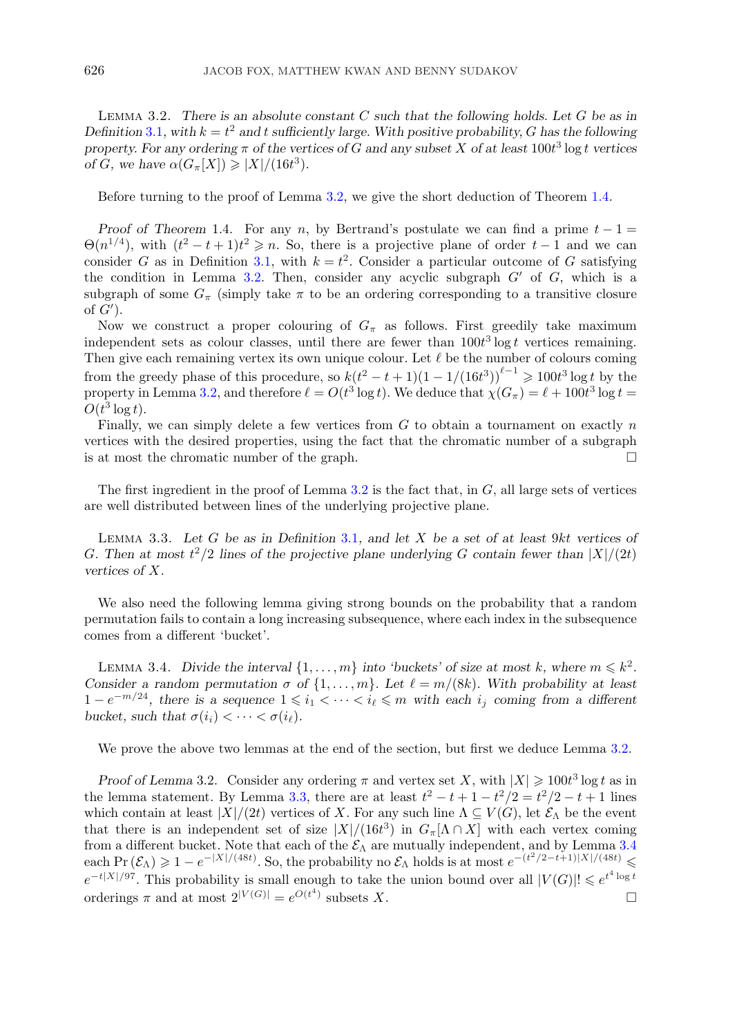<span id="page-7-0"></span>Lemma 3.2. *There is an absolute constant* C *such that the following holds. Let* G *be as in Definition* [3.1](#page-6-0)*, with*  $k = t^2$  *and* t *sufficiently large. With positive probability,* G *has the following* property. For any ordering  $\pi$  of the vertices of G and any subset X of at least 100t<sup>3</sup> log t vertices *property. For any ordering*  $\pi$  *of the vertices of G and any subset* X *of at least*  $100t^3 \log t$  *vertices* of *G we have*  $\alpha(G,[X]) \ge |X|/(16t^3)$ *of G*, we have  $\alpha(G_{\pi}[X]) \geq |X|/(16t^3)$ *.* 

Before turning to the proof of Lemma 3.2, we give the short deduction of Theorem [1.4.](#page-1-0)

*Proof of Theorem* 1.4. For any n, by Bertrand's postulate we can find a prime  $t - 1 =$  $\Theta(n^{1/4})$ , with  $(t^2 - t + 1)t^2 \ge n$ . So, there is a projective plane of order  $t - 1$  and we can consider G as in Definition 3.1, with  $k = t^2$ . Consider a particular outcome of G satisfying consider G as in Definition [3.1,](#page-6-0) with  $k = t^2$ . Consider a particular outcome of G satisfying<br>the condition in Lemma 3.2. Then, consider any acyclic subgraph  $G'$  of G, which is a the condition in Lemma 3.2. Then, consider any acyclic subgraph  $G'$  of  $G$ , which is a<br>subgraph of some  $G$  (simply take  $\pi$  to be an ordering corresponding to a transitive closure subgraph of some  $G_{\pi}$  (simply take  $\pi$  to be an ordering corresponding to a transitive closure of  $G'$ ).<br>Now

Now we construct a proper colouring of  $G_{\pi}$  as follows. First greedily take maximum independent sets as colour classes, until there are fewer than  $100t^3 \log t$  vertices remaining.<br>Then give each remaining vertex its own unique colour. Let  $\ell$  be the number of colours coming. Then give each remaining vertex its own unique colour. Let  $\ell$  be the number of colours coming from the greedy phase of this procedure, so  $k(t^2 - t + 1)(1 - 1/(16t^3))^{t-1} \ge 100t^3 \log t$  by the property in Lemma 3.2, and therefore  $\ell = O(t^3 \log t)$ . We deduce that  $\chi(G) = \ell + 100t^3 \log t =$ property in Lemma 3.2, and therefore  $\ell = O(t^3 \log t)$ . We deduce that  $\chi(G_\pi) = \ell + 100t^3 \log t = O(t^3 \log t)$  $O(t^3 \log t)$ .<br>Finally

Finally, we can simply delete a few vertices from  $G$  to obtain a tournament on exactly  $n$ vertices with the desired properties, using the fact that the chromatic number of a subgraph is at most the chromatic number of the graph.

The first ingredient in the proof of Lemma 3.2 is the fact that, in  $G$ , all large sets of vertices are well distributed between lines of the underlying projective plane.

Lemma 3.3. *Let* G *be as in Definition* [3.1](#page-6-0)*, and let* X *be a set of at least* <sup>9</sup>kt *vertices of* G. Then at most  $t^2/2$  lines of the projective plane underlying G contain fewer than  $|X|/(2t)$ <br>vertices of X *vertices of* X*.*

We also need the following lemma giving strong bounds on the probability that a random permutation fails to contain a long increasing subsequence, where each index in the subsequence comes from a different 'bucket'.

LEMMA 3.4. *Divide the interval*  $\{1, \ldots, m\}$  *into 'buckets' of size at most* k, where  $m \leq k^2$ . *Consider a random permutation*  $\sigma$  of  $\{1, \ldots, m\}$ *. Let*  $\ell = m/(8k)$ *. With probability at least*  $1 - e^{-m/24}$ , there is a sequence  $1 \leq i_1 < \cdots < i_\ell \leq m$  with each  $i_j$  coming from a different bucket such that  $\sigma(i_1) < \cdots < \sigma(i_\ell)$ *bucket, such that*  $\sigma(i_i) < \cdots < \sigma(i_\ell)$ *.* 

We prove the above two lemmas at the end of the section, but first we deduce Lemma 3.2.

*Proof of Lemma* 3.2. Consider any ordering  $\pi$  and vertex set X, with  $|X| \ge 100t^3 \log t$  as in the lemma statement. By Lemma 3.3, there are at least  $t^2 - t + 1 - t^2/2 = t^2/2 - t + 1$  lines<br>which contain at least  $|Y|/(2t)$  vertices of X. For any such line  $\Lambda \subset V(G)$  let  $\mathcal{E}_t$  be the event which contain at least  $|X|/(2t)$  vertices of X. For any such line  $\Lambda \subseteq V(G)$ , let  $\mathcal{E}_{\Lambda}$  be the event that there is an independent set of size  $|X|/(16t^3)$  in  $G_{\pi}[\Lambda \cap X]$  with each vertex coming<br>from a different bucket. Note that each of the  $\mathcal{E}_{\Lambda}$  are mutually independent, and by Lemma 3.4 from a different bucket. Note that each of the  $\mathcal{E}_{\Lambda}$  are mutually independent, and by Lemma 3.4 each Pr  $(\mathcal{E}_\Lambda) \geq 1 - e^{-|X|/(48t)}$ . So, the probability no  $\mathcal{E}_\Lambda$  holds is at most  $e^{-(t^2/2-t+1)|X|/(48t)} \leq e^{-t|X|/97}$ . This probability is small enough to take the union bound over all  $|V(G)| \leq e^{t^4 \log t}$  $e^{-t|X|/97}$ . This probability is small enough to take the union bound over all  $|V(G)| \leq e^{t^4 \log t}$ orderings  $\pi$  and at most  $2^{|V(G)|} = e^{O(t^4)}$  subsets X.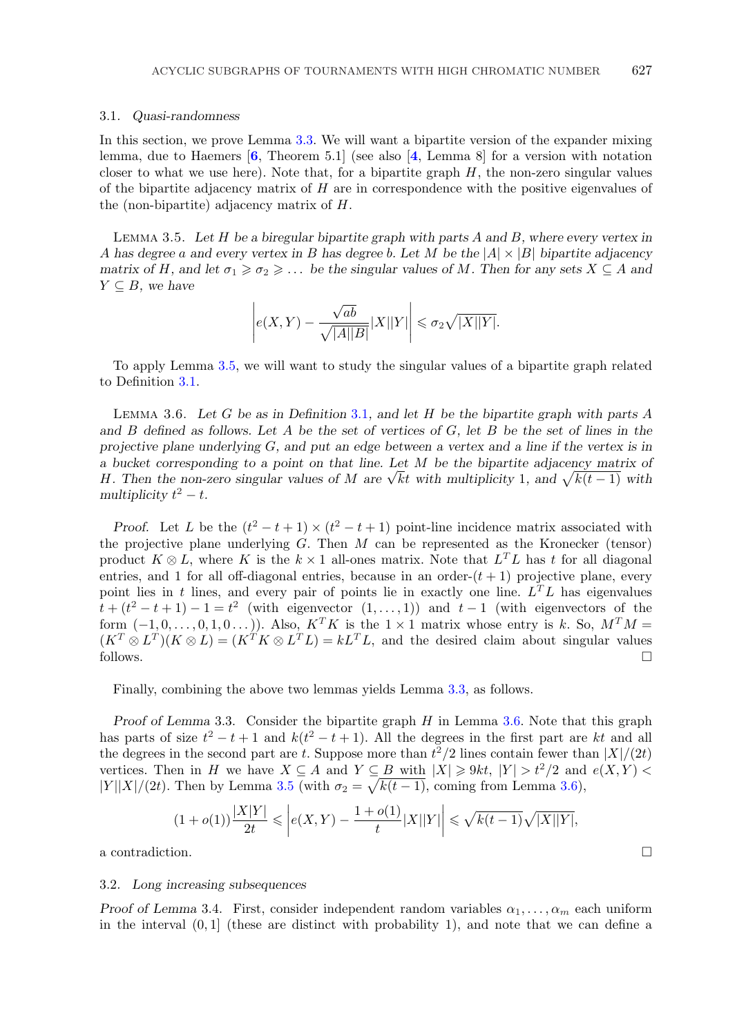#### <span id="page-8-0"></span>3*.*1*. Quasi-randomness*

In this section, we prove Lemma [3.3.](#page-7-0) We will want a bipartite version of the expander mixing lemma, due to Haemers [**[6](#page-10-0)**, Theorem 5.1] (see also [**[4](#page-10-0)**, Lemma 8] for a version with notation closer to what we use here). Note that, for a bipartite graph  $H$ , the non-zero singular values of the bipartite adjacency matrix of  $H$  are in correspondence with the positive eigenvalues of the (non-bipartite) adjacency matrix of H.

Lemma 3.5. *Let* H *be a biregular bipartite graph with parts* A *and* B*, where every vertex in* A *has degree* a *and every vertex in* B *has degree* b*. Let* M *be the* <sup>|</sup>A|×|B<sup>|</sup> *bipartite adjacency matrix of* H, and let  $\sigma_1 \geq \sigma_2 \geq \ldots$  *be the singular values of* M. Then for any sets  $X \subseteq A$  and  $Y \subseteq B$ *, we have* 

$$
\left| e(X,Y) - \frac{\sqrt{ab}}{\sqrt{|A||B|}} |X||Y| \right| \leq \sigma_2 \sqrt{|X||Y|}.
$$

To apply Lemma 3.5, we will want to study the singular values of a bipartite graph related to Definition [3.1.](#page-6-0)

Lemma 3.6. *Let* G *be as in Definition* [3.1](#page-6-0)*, and let* H *be the bipartite graph with parts* A *and* B *defined as follows. Let* A *be the set of vertices of* G*, let* B *be the set of lines in the projective plane underlying* G*, and put an edge between a vertex and a line if the vertex is in a bucket corresponding to a point on that line. Let* M *be the bipartite adjacency matrix of* a bucket corresponding to a point on that line. Let M be the oppartite adjacency matrix of H. Then the non-zero singular values of M are  $\sqrt{k}t$  with multiplicity 1, and  $\sqrt{k(t-1)}$  with multiplicity  $t^2 - t$ *multiplicity*  $t^2 - t$ .

*Proof.* Let L be the  $(t^2 - t + 1) \times (t^2 - t + 1)$  point-line incidence matrix associated with the projective plane underlying  $G$ . Then  $M$  can be represented as the Kronecker (tensor) product  $K \otimes L$ , where K is the  $k \times 1$  all-ones matrix. Note that  $L^TL$  has t for all diagonal entries, and 1 for all off-diagonal entries, because in an order- $(t + 1)$  projective plane, every point lies in t lines, and every pair of points lie in exactly one line.  $L^T L$  has eigenvalues  $t + (t^2 - t + 1) - 1 = t^2$  (with eigenvector  $(1, \ldots, 1)$ ) and  $t - 1$  (with eigenvectors of the form  $(-1, 0, 0, 1, 0, \ldots)$ ) Also  $K^T K$  is the  $1 \times 1$  matrix whose entry is k. So  $M^T M$ form  $(-1, 0, \ldots, 0, 1, 0 \ldots)$ ). Also,  $K^T K$  is the  $1 \times 1$  matrix whose entry is k. So,  $M^T M =$  $(K^T \otimes L^T)(K \otimes L) = (K^T K \otimes L^T L) = kL^T L$ , and the desired claim about singular values follows. follows.

Finally, combining the above two lemmas yields Lemma [3.3,](#page-7-0) as follows.

*Proof of Lemma* 3.3. Consider the bipartite graph H in Lemma 3.6. Note that this graph has parts of size  $t^2 - t + 1$  and  $k(t^2 - t + 1)$ . All the degrees in the first part are kt and all the degrees in the second part are t Suppose more than  $t^2/2$  lines contain fewer than  $|X|/(2t)$ the degrees in the second part are t. Suppose more than  $t^2/2$  lines contain fewer than  $|X|/(2t)$ <br>vertices. Then in H we have  $X \subseteq A$  and  $Y \subseteq B$  with  $|X| > 0$   $t$ ,  $|Y| > t^2/2$  and  $e(X, Y) <$ vertices. Then in H we have  $X \subseteq A$  and  $Y \subseteq B$  with  $|X| \geq 9kt$ ,  $|Y| > t^2/2$  and  $e(X, Y) <$  $|Y||X|/(2t)$ . Then by Lemma 3.5 (with  $\sigma_2 = \sqrt{k(t-1)}$ , coming from Lemma 3.6),

$$
(1 + o(1))\frac{|X|Y|}{2t} \leqslant \left| e(X, Y) - \frac{1 + o(1)}{t} |X||Y| \right| \leqslant \sqrt{k(t-1)}\sqrt{|X||Y|},
$$

a contradiction.

#### 3*.*2*. Long increasing subsequences*

*Proof of Lemma* 3.4. First, consider independent random variables  $\alpha_1, \ldots, \alpha_m$  each uniform in the interval  $(0, 1]$  (these are distinct with probability 1), and note that we can define a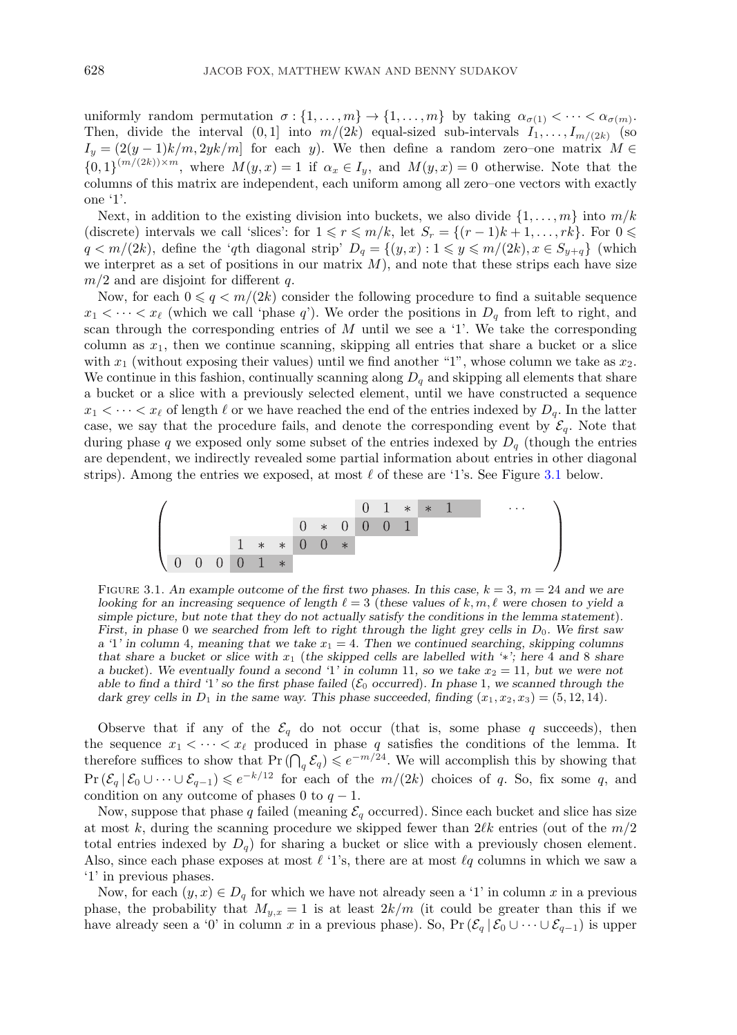uniformly random permutation  $\sigma : \{1,\ldots,m\} \to \{1,\ldots,m\}$  by taking  $\alpha_{\sigma(1)} < \cdots < \alpha_{\sigma(m)}$ . Then, divide the interval  $(0, 1]$  into  $m/(2k)$  equal-sized sub-intervals  $I_1, \ldots, I_{m/(2k)}$  (so  $I_y = (2(y-1)k/m, 2yk/m]$  for each y). We then define a random zero–one matrix  $M \in$  ${0,1}^{(m/(2k))\times m}$ , where  $M(y, x) = 1$  if  $\alpha_x \in I_y$ , and  $M(y, x) = 0$  otherwise. Note that the columns of this matrix are independent each uniform among all zero-one vectors with exactly columns of this matrix are independent, each uniform among all zero–one vectors with exactly one '1'.

Next, in addition to the existing division into buckets, we also divide  $\{1,\ldots,m\}$  into  $m/k$ (discrete) intervals we call 'slices': for  $1 \le r \le m/k$ , let  $S_r = \{(r-1)k+1,\ldots, rk\}$ . For  $0 \le r \le m/(2k)$  define the 'ath diagonal strip'  $D_s = \{(u, r): 1 \le u \le m/(2k) \le r \in S_{s-1}\}$  (which  $q < m/(2k)$ , define the 'qth diagonal strip'  $D_q = \{(y, x) : 1 \leq y \leq m/(2k), x \in S_{y+q}\}\)$  (which we interpret as a set of positions in our matrix M) and note that these strips each have size we interpret as a set of positions in our matrix  $M$ ), and note that these strips each have size  $m/2$  and are disjoint for different q.

Now, for each  $0 \leq q \leq m/(2k)$  consider the following procedure to find a suitable sequence  $\leq \cdots \leq x_{\ell}$  (which we call 'phase q'). We order the positions in D, from left to right, and  $x_1 < \cdots < x_\ell$  (which we call 'phase q'). We order the positions in  $D_q$  from left to right, and scan through the corresponding entries of  $M$  until we see a '1'. We take the corresponding column as  $x_1$ , then we continue scanning, skipping all entries that share a bucket or a slice with  $x_1$  (without exposing their values) until we find another "1", whose column we take as  $x_2$ . We continue in this fashion, continually scanning along  $D_q$  and skipping all elements that share a bucket or a slice with a previously selected element, until we have constructed a sequence  $x_1 < \cdots < x_\ell$  of length  $\ell$  or we have reached the end of the entries indexed by  $D_q$ . In the latter case, we say that the procedure fails, and denote the corresponding event by  $\mathcal{E}_q$ . Note that during phase q we exposed only some subset of the entries indexed by  $D_q$  (though the entries are dependent, we indirectly revealed some partial information about entries in other diagonal strips). Among the entries we exposed, at most  $\ell$  of these are '1's. See Figure 3.1 below.



FIGURE 3.1. An example outcome of the first two phases. In this case,  $k = 3$ ,  $m = 24$  and we are *looking for an increasing sequence of length*  $\ell = 3$  (these values of k, m,  $\ell$  were chosen to yield a *simple picture, but note that they do not actually satisfy the conditions in the lemma statement*)*. First, in phase* 0 we searched from left to right through the light grey cells in  $D_0$ . We first saw  $a<sup>i</sup>1'$  in column 4, meaning that we take  $x<sub>1</sub> = 4$ . Then we continued searching, skipping columns *that share a bucket or slice with* x<sup>1</sup> (*the skipped cells are labelled with '*∗*'; here* 4 *and* 8 *share a bucket*). We eventually found a second '1' in column 11, so we take  $x_2 = 11$ , but we were not *able to find a third '1' so the first phase failed* ( $\mathcal{E}_0$  *occurred*). In phase 1, we scanned through the *dark grey cells in*  $D_1$  *in the same way. This phase succeeded, finding*  $(x_1, x_2, x_3) = (5, 12, 14)$ *.* 

Observe that if any of the  $\mathcal{E}_q$  do not occur (that is, some phase q succeeds), then the sequence  $x_1 < \cdots < x_\ell$  produced in phase q satisfies the conditions of the lemma. It<br>therefore suffices to show that  $Pr(\bigcap_q \mathcal{E}_q) \leq e^{-m/24}$ . We will accomplish this by showing that  $\Pr(\mathcal{E}_q | \mathcal{E}_0 \cup \cdots \cup \mathcal{E}_{q-1}) \leq e^{-k/12}$  for each of the  $m/(2k)$  choices of q. So, fix some q, and condition on any outcome of phases 0 to  $q-1$ condition on any outcome of phases 0 to  $q - 1$ .

Now, suppose that phase q failed (meaning  $\mathcal{E}_q$  occurred). Since each bucket and slice has size at most k, during the scanning procedure we skipped fewer than  $2\ell k$  entries (out of the  $m/2$ total entries indexed by  $D_q$ ) for sharing a bucket or slice with a previously chosen element. Also, since each phase exposes at most  $\ell$  '1's, there are at most  $\ell q$  columns in which we saw a '1' in previous phases.

Now, for each  $(y, x) \in D_q$  for which we have not already seen a '1' in column x in a previous phase, the probability that  $M_{y,x} = 1$  is at least  $2k/m$  (it could be greater than this if we have already seen a '0' in column x in a previous phase). So,  $Pr(\mathcal{E}_q | \mathcal{E}_0 \cup \cdots \cup \mathcal{E}_{q-1})$  is upper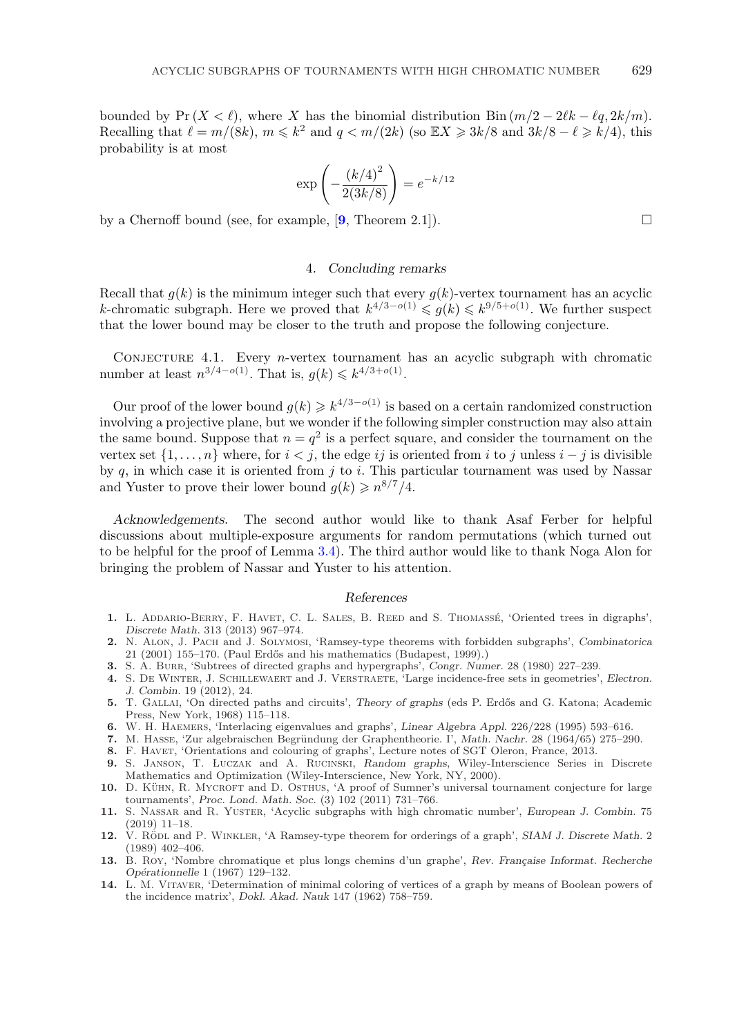<span id="page-10-0"></span>bounded by Pr (X <  $\ell$ ), where X has the binomial distribution Bin  $(m/2 - 2\ell k - \ell q, 2k/m)$ . Recalling that  $\ell = m/(8k)$ ,  $m \le k^2$  and  $q < m/(2k)$  (so  $\mathbb{E}X \ge 3k/8$  and  $3k/8 - \ell \ge k/4$ ), this probability is at most probability is at most

$$
\exp\left(-\frac{(k/4)^2}{2(3k/8)}\right) = e^{-k/12}
$$

by a Chernoff bound (see, for example, [**9**, Theorem 2.1]).

### 4*. Concluding remarks*

Recall that  $g(k)$  is the minimum integer such that every  $g(k)$ -vertex tournament has an acyclic k-chromatic subgraph. Here we proved that  $k^{4/3-o(1)} \leq g(k) \leq k^{9/5+o(1)}$ . We further suspect<br>that the lower bound may be closer to the truth and propose the following conjecture that the lower bound may be closer to the truth and propose the following conjecture.

CONJECTURE 4.1. Every *n*-vertex tournament has an acyclic subgraph with chromatic number at least  $n^{3/4-o(1)}$ . That is,  $g(k) \leq k^{4/3+o(1)}$ .

Our proof of the lower bound  $q(k) \geq k^{4/3-o(1)}$  is based on a certain randomized construction involving a projective plane, but we wonder if the following simpler construction may also attain the same bound. Suppose that  $n = q^2$  is a perfect square, and consider the tournament on the vertex set  $\{1,\ldots,n\}$  where, for  $i < j$ , the edge ij is oriented from i to j unless  $i - j$  is divisible by  $q$ , in which case it is oriented from  $j$  to i. This particular tournament was used by Nassar and Yuster to prove their lower bound  $g(k) \geq n^{8/7}/4$ .

*Acknowledgements.* The second author would like to thank Asaf Ferber for helpful discussions about multiple-exposure arguments for random permutations (which turned out to be helpful for the proof of Lemma [3.4\)](#page-7-0). The third author would like to thank Noga Alon for bringing the problem of Nassar and Yuster to his attention.

## *References*

- 1. L. ADDARIO-BERRY, F. HAVET, C. L. SALES, B. REED and S. THOMASSÉ, 'Oriented trees in digraphs', *Discrete Math.* 313 (2013) 967–974.
- **2.** N. Alon, J. Pach and J. Solymosi, 'Ramsey-type theorems with forbidden subgraphs', *Combinatorica* 21 (2001) 155–170. (Paul Erd˝os and his mathematics (Budapest, 1999).)
- **3.** S. A. Burr, 'Subtrees of directed graphs and hypergraphs', *Congr. Numer.* 28 (1980) 227–239.
- **4.** S. De Winter, J. Schillewaert and J. Verstraete, 'Large incidence-free sets in geometries', *Electron. J. Combin.* 19 (2012), 24.
- **5.** T. GALLAI, 'On directed paths and circuits', *Theory of graphs* (eds P. Erdős and G. Katona; Academic Press, New York, 1968) 115–118.
- **6.** W. H. Haemers, 'Interlacing eigenvalues and graphs', *Linear Algebra Appl.* 226/228 (1995) 593–616.
- 7. M. HASSE, 'Zur algebraischen Begründung der Graphentheorie. I', *Math. Nachr.* 28 (1964/65) 275–290.
- 8. F. HAVET, 'Orientations and colouring of graphs', Lecture notes of SGT Oleron, France, 2013.
- 9. S. JANSON, T. LUCZAK and A. RUCINSKI, *Random graphs*, Wiley-Interscience Series in Discrete Mathematics and Optimization (Wiley-Interscience, New York, NY, 2000).
- **10.** D. KÜHN, R. MYCROFT and D. OSTHUS, 'A proof of Sumner's universal tournament conjecture for large tournaments', *Proc. Lond. Math. Soc.* (3) 102 (2011) 731–766.
- **11.** S. Nassar and R. Yuster, 'Acyclic subgraphs with high chromatic number', *European J. Combin.* 75 (2019) 11–18.
- 12. V. RODL and P. WINKLER, 'A Ramsey-type theorem for orderings of a graph', *SIAM J. Discrete Math.* 2 (1989) 402–406.
- **13.** B. Roy, 'Nombre chromatique et plus longs chemins d'un graphe', *Rev. Fran¸caise Informat. Recherche Op´erationnelle* 1 (1967) 129–132.
- **14.** L. M. Vitaver, 'Determination of minimal coloring of vertices of a graph by means of Boolean powers of the incidence matrix', *Dokl. Akad. Nauk* 147 (1962) 758–759.